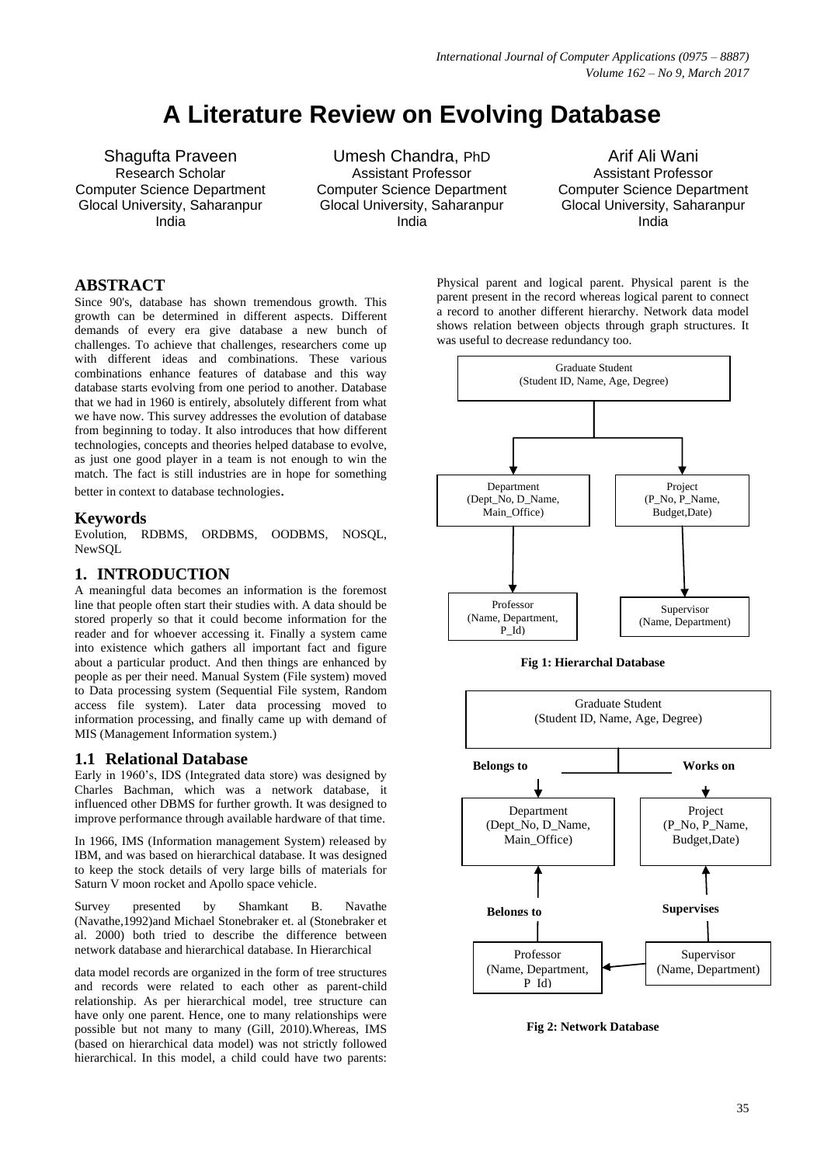# **A Literature Review on Evolving Database**

Shagufta Praveen Research Scholar Computer Science Department Glocal University, Saharanpur India

Umesh Chandra, PhD Assistant Professor Computer Science Department Glocal University, Saharanpur India

Arif Ali Wani Assistant Professor Computer Science Department Glocal University, Saharanpur India

## **ABSTRACT**

Since 90's, database has shown tremendous growth. This growth can be determined in different aspects. Different demands of every era give database a new bunch of challenges. To achieve that challenges, researchers come up with different ideas and combinations. These various combinations enhance features of database and this way database starts evolving from one period to another. Database that we had in 1960 is entirely, absolutely different from what we have now. This survey addresses the evolution of database from beginning to today. It also introduces that how different technologies, concepts and theories helped database to evolve, as just one good player in a team is not enough to win the match. The fact is still industries are in hope for something better in context to database technologies.

#### **Keywords**

Evolution, RDBMS, ORDBMS, OODBMS, NOSQL, NewSQL

# **1. INTRODUCTION**

A meaningful data becomes an information is the foremost line that people often start their studies with. A data should be stored properly so that it could become information for the reader and for whoever accessing it. Finally a system came into existence which gathers all important fact and figure about a particular product. And then things are enhanced by people as per their need. Manual System (File system) moved to Data processing system (Sequential File system, Random access file system). Later data processing moved to information processing, and finally came up with demand of MIS (Management Information system.)

# **1.1 Relational Database**

Early in 1960's, IDS (Integrated data store) was designed by Charles Bachman, which was a network database, it influenced other DBMS for further growth. It was designed to improve performance through available hardware of that time.

In 1966, IMS (Information management System) released by IBM, and was based on hierarchical database. It was designed to keep the stock details of very large bills of materials for Saturn V moon rocket and Apollo space vehicle.

Survey presented by Shamkant B. Navathe (Navathe,1992)and Michael Stonebraker et. al (Stonebraker et al. 2000) both tried to describe the difference between network database and hierarchical database. In Hierarchical

data model records are organized in the form of tree structures and records were related to each other as parent-child relationship. As per hierarchical model, tree structure can have only one parent. Hence, one to many relationships were possible but not many to many (Gill, 2010).Whereas, IMS (based on hierarchical data model) was not strictly followed hierarchical. In this model, a child could have two parents:

Physical parent and logical parent. Physical parent is the parent present in the record whereas logical parent to connect a record to another different hierarchy. Network data model shows relation between objects through graph structures. It was useful to decrease redundancy too.



#### **Fig 1: Hierarchal Database**



**Fig 2: Network Database**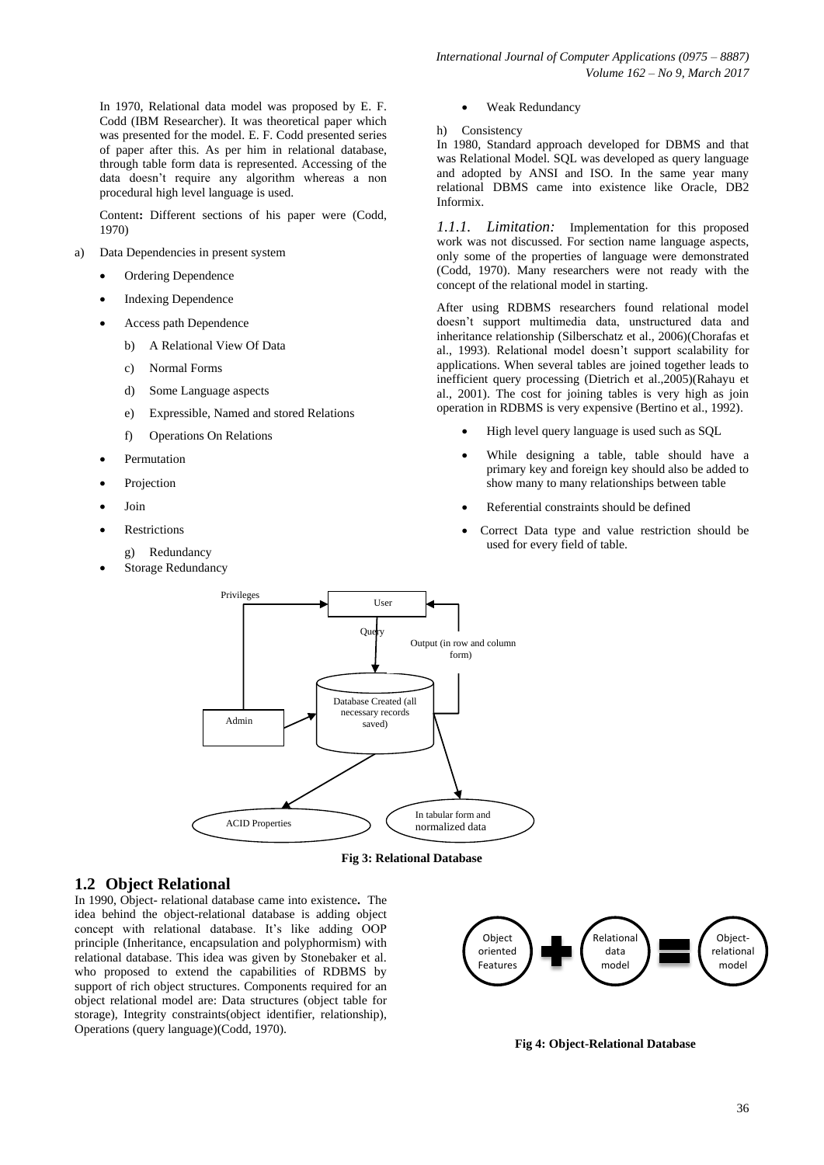In 1970, Relational data model was proposed by E. F. Codd (IBM Researcher). It was theoretical paper which was presented for the model. E. F. Codd presented series of paper after this. As per him in relational database, through table form data is represented. Accessing of the data doesn't require any algorithm whereas a non procedural high level language is used.

Content**:** Different sections of his paper were (Codd, 1970)

- a) Data Dependencies in present system
	- Ordering Dependence
	- Indexing Dependence
	- Access path Dependence
		- b) A Relational View Of Data
		- c) Normal Forms
		- d) Some Language aspects
		- e) Expressible, Named and stored Relations
		- f) Operations On Relations
	- Permutation
	- Projection
	- Join
	- Restrictions
		- g) Redundancy
	- Storage Redundancy
- Weak Redundancy
- h) Consistency

In 1980, Standard approach developed for DBMS and that was Relational Model. SQL was developed as query language and adopted by ANSI and ISO. In the same year many relational DBMS came into existence like Oracle, DB2 Informix.

*1.1.1. Limitation:* Implementation for this proposed work was not discussed. For section name language aspects, only some of the properties of language were demonstrated (Codd, 1970). Many researchers were not ready with the concept of the relational model in starting.

After using RDBMS researchers found relational model doesn't support multimedia data, unstructured data and inheritance relationship (Silberschatz et al., 2006)(Chorafas et al., 1993). Relational model doesn't support scalability for applications. When several tables are joined together leads to inefficient query processing (Dietrich et al.,2005)(Rahayu et al., 2001). The cost for joining tables is very high as join operation in RDBMS is very expensive (Bertino et al., 1992).

- High level query language is used such as SQL
- While designing a table, table should have a primary key and foreign key should also be added to show many to many relationships between table
- Referential constraints should be defined
- Correct Data type and value restriction should be used for every field of table.





# **1.2 Object Relational**

In 1990, Object- relational database came into existence**.** The idea behind the object-relational database is adding object concept with relational database. It's like adding OOP principle (Inheritance, encapsulation and polyphormism) with relational database. This idea was given by Stonebaker et al. who proposed to extend the capabilities of RDBMS by support of rich object structures. Components required for an object relational model are: Data structures (object table for storage), Integrity constraints(object identifier, relationship), Operations (query language)(Codd, 1970).



**Fig 4: Object-Relational Database**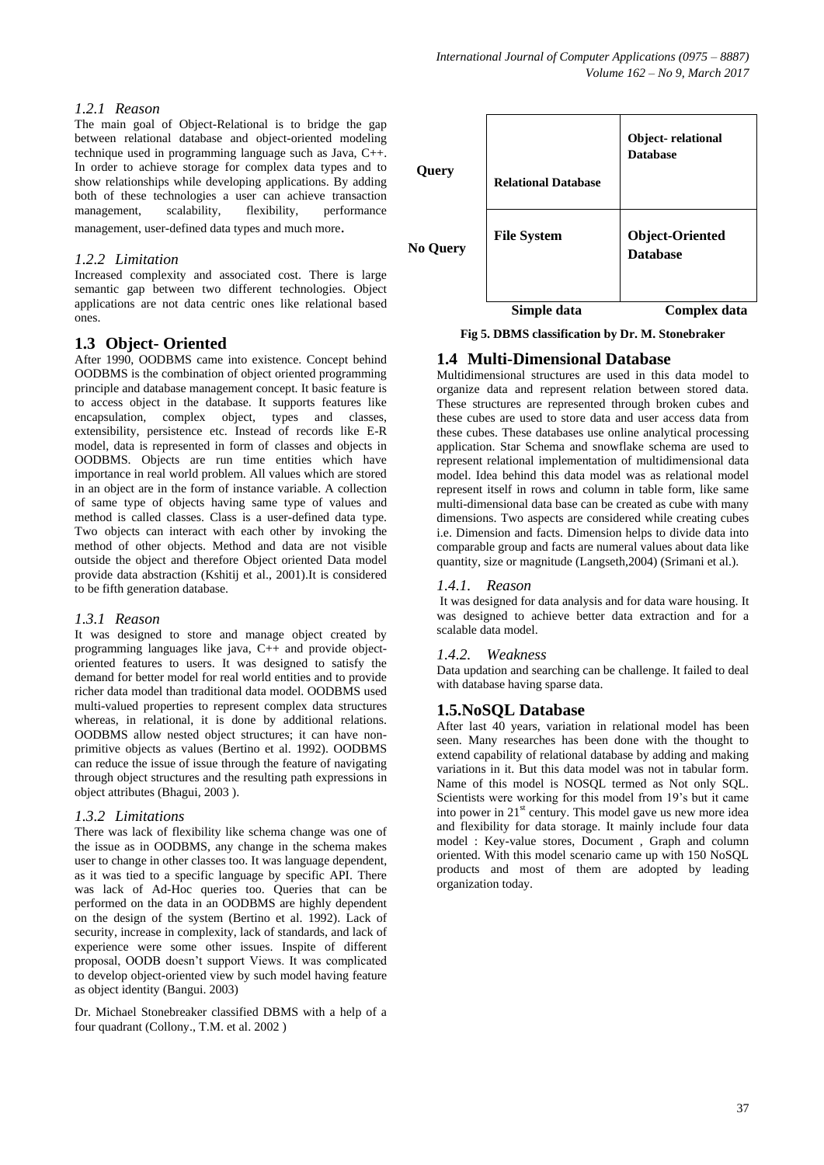# *1.2.1 Reason*

The main goal of Object-Relational is to bridge the gap between relational database and object-oriented modeling technique used in programming language such as Java, C++. In order to achieve storage for complex data types and to show relationships while developing applications. By adding both of these technologies a user can achieve transaction<br>management, scalability, flexibility, performance management, scalability, flexibility, management, user-defined data types and much more.

## *1.2.2 Limitation*

Increased complexity and associated cost. There is large semantic gap between two different technologies. Object applications are not data centric ones like relational based ones.

# **1.3 Object- Oriented**

After 1990, OODBMS came into existence. Concept behind OODBMS is the combination of object oriented programming principle and database management concept. It basic feature is to access object in the database. It supports features like encapsulation, complex object, types and classes, extensibility, persistence etc. Instead of records like E-R model, data is represented in form of classes and objects in OODBMS. Objects are run time entities which have importance in real world problem. All values which are stored in an object are in the form of instance variable. A collection of same type of objects having same type of values and method is called classes. Class is a user-defined data type. Two objects can interact with each other by invoking the method of other objects. Method and data are not visible outside the object and therefore Object oriented Data model provide data abstraction (Kshitij et al., 2001).It is considered to be fifth generation database.

#### *1.3.1 Reason*

It was designed to store and manage object created by programming languages like java, C++ and provide objectoriented features to users. It was designed to satisfy the demand for better model for real world entities and to provide richer data model than traditional data model. OODBMS used multi-valued properties to represent complex data structures whereas, in relational, it is done by additional relations. OODBMS allow nested object structures; it can have nonprimitive objects as values (Bertino et al. 1992). OODBMS can reduce the issue of issue through the feature of navigating through object structures and the resulting path expressions in object attributes (Bhagui, 2003 ).

#### *1.3.2 Limitations*

There was lack of flexibility like schema change was one of the issue as in OODBMS, any change in the schema makes user to change in other classes too. It was language dependent, as it was tied to a specific language by specific API. There was lack of Ad-Hoc queries too. Queries that can be performed on the data in an OODBMS are highly dependent on the design of the system (Bertino et al. 1992). Lack of security, increase in complexity, lack of standards, and lack of experience were some other issues. Inspite of different proposal, OODB doesn't support Views. It was complicated to develop object-oriented view by such model having feature as object identity (Bangui. 2003)

Dr. Michael Stonebreaker classified DBMS with a help of a four quadrant (Collony., T.M. et al. 2002 )



**Fig 5. DBMS classification by Dr. M. Stonebraker**

# **1.4 Multi-Dimensional Database**

Multidimensional structures are used in this data model to organize data and represent relation between stored data. These structures are represented through broken cubes and these cubes are used to store data and user access data from these cubes. These databases use online analytical processing application. Star Schema and snowflake schema are used to represent relational implementation of multidimensional data model. Idea behind this data model was as relational model represent itself in rows and column in table form, like same multi-dimensional data base can be created as cube with many dimensions. Two aspects are considered while creating cubes i.e. Dimension and facts. Dimension helps to divide data into comparable group and facts are numeral values about data like quantity, size or magnitude (Langseth,2004) (Srimani et al.).

#### *1.4.1. Reason*

It was designed for data analysis and for data ware housing. It was designed to achieve better data extraction and for a scalable data model.

# *1.4.2. Weakness*

Data updation and searching can be challenge. It failed to deal with database having sparse data.

# **1.5.NoSQL Database**

After last 40 years, variation in relational model has been seen. Many researches has been done with the thought to extend capability of relational database by adding and making variations in it. But this data model was not in tabular form. Name of this model is NOSQL termed as Not only SQL. Scientists were working for this model from 19's but it came into power in  $21<sup>st</sup>$  century. This model gave us new more idea and flexibility for data storage. It mainly include four data model : Key-value stores, Document , Graph and column oriented. With this model scenario came up with 150 NoSQL products and most of them are adopted by leading organization today.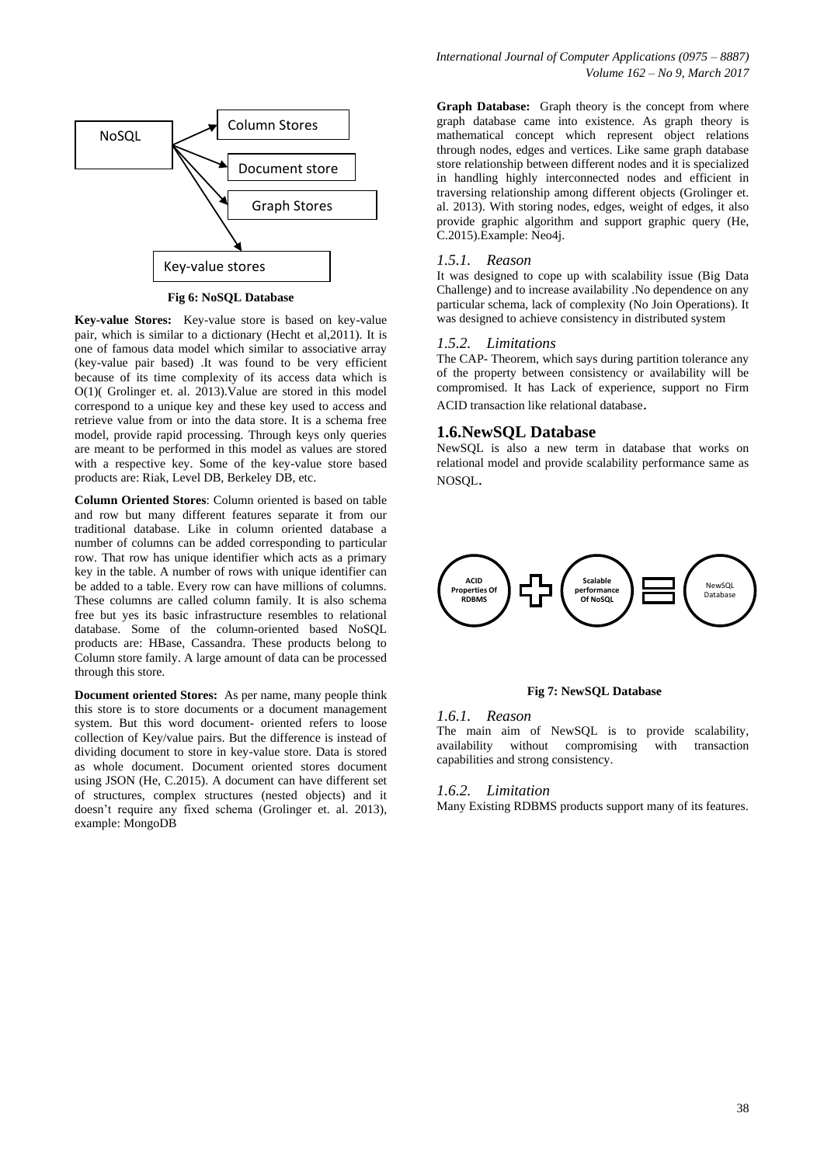

**Fig 6: NoSQL Database**

**Key-value Stores:** Key-value store is based on key-value pair, which is similar to a dictionary (Hecht et al,2011). It is one of famous data model which similar to associative array (key-value pair based) .It was found to be very efficient because of its time complexity of its access data which is O(1)( Grolinger et. al. 2013).Value are stored in this model correspond to a unique key and these key used to access and retrieve value from or into the data store. It is a schema free model, provide rapid processing. Through keys only queries are meant to be performed in this model as values are stored with a respective key. Some of the key-value store based products are: Riak, Level DB, Berkeley DB, etc.

**Column Oriented Stores**: Column oriented is based on table and row but many different features separate it from our traditional database. Like in column oriented database a number of columns can be added corresponding to particular row. That row has unique identifier which acts as a primary key in the table. A number of rows with unique identifier can be added to a table. Every row can have millions of columns. These columns are called column family. It is also schema free but yes its basic infrastructure resembles to relational database. Some of the column-oriented based NoSQL products are: HBase, Cassandra. These products belong to Column store family. A large amount of data can be processed through this store.

**Document oriented Stores:** As per name, many people think this store is to store documents or a document management system. But this word document- oriented refers to loose collection of Key/value pairs. But the difference is instead of dividing document to store in key-value store. Data is stored as whole document. Document oriented stores document using JSON (He, C.2015). A document can have different set of structures, complex structures (nested objects) and it doesn't require any fixed schema (Grolinger et. al. 2013), example: MongoDB

**Graph Database:** Graph theory is the concept from where graph database came into existence. As graph theory is mathematical concept which represent object relations through nodes, edges and vertices. Like same graph database store relationship between different nodes and it is specialized in handling highly interconnected nodes and efficient in traversing relationship among different objects (Grolinger et. al. 2013). With storing nodes, edges, weight of edges, it also provide graphic algorithm and support graphic query (He, C.2015).Example: Neo4j.

#### *1.5.1. Reason*

It was designed to cope up with scalability issue (Big Data Challenge) and to increase availability .No dependence on any particular schema, lack of complexity (No Join Operations). It was designed to achieve consistency in distributed system

#### *1.5.2. Limitations*

The CAP- Theorem, which says during partition tolerance any of the property between consistency or availability will be compromised. It has Lack of experience, support no Firm ACID transaction like relational database.

#### **1.6.NewSQL Database**

NewSQL is also a new term in database that works on relational model and provide scalability performance same as NOSQL.



#### **Fig 7: NewSQL Database**

#### *1.6.1. Reason*

The main aim of NewSQL is to provide scalability, availability without compromising with transaction capabilities and strong consistency.

#### *1.6.2. Limitation*

Many Existing RDBMS products support many of its features.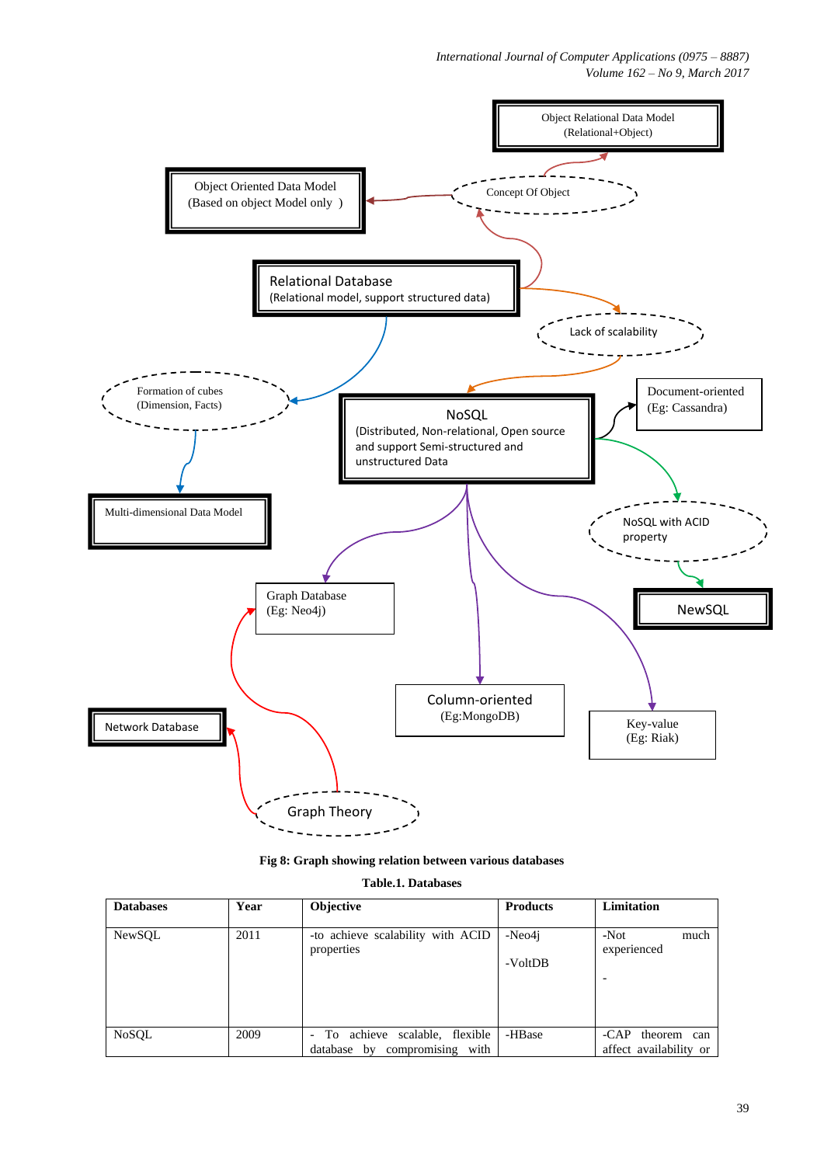

|  |  |  | Fig 8: Graph showing relation between various databases |  |
|--|--|--|---------------------------------------------------------|--|
|--|--|--|---------------------------------------------------------|--|

| <b>Databases</b> | Year | <b>Objective</b>                                                                           | <b>Products</b>   | Limitation                                 |
|------------------|------|--------------------------------------------------------------------------------------------|-------------------|--------------------------------------------|
| NewSQL           | 2011 | -to achieve scalability with ACID<br>properties                                            | -Neo4i<br>-VoltDB | $-Not$<br>much<br>experienced              |
| NoSQL            | 2009 | To achieve scalable, flexible<br>$\overline{\phantom{0}}$<br>database by compromising with | -HBase            | -CAP theorem can<br>affect availability or |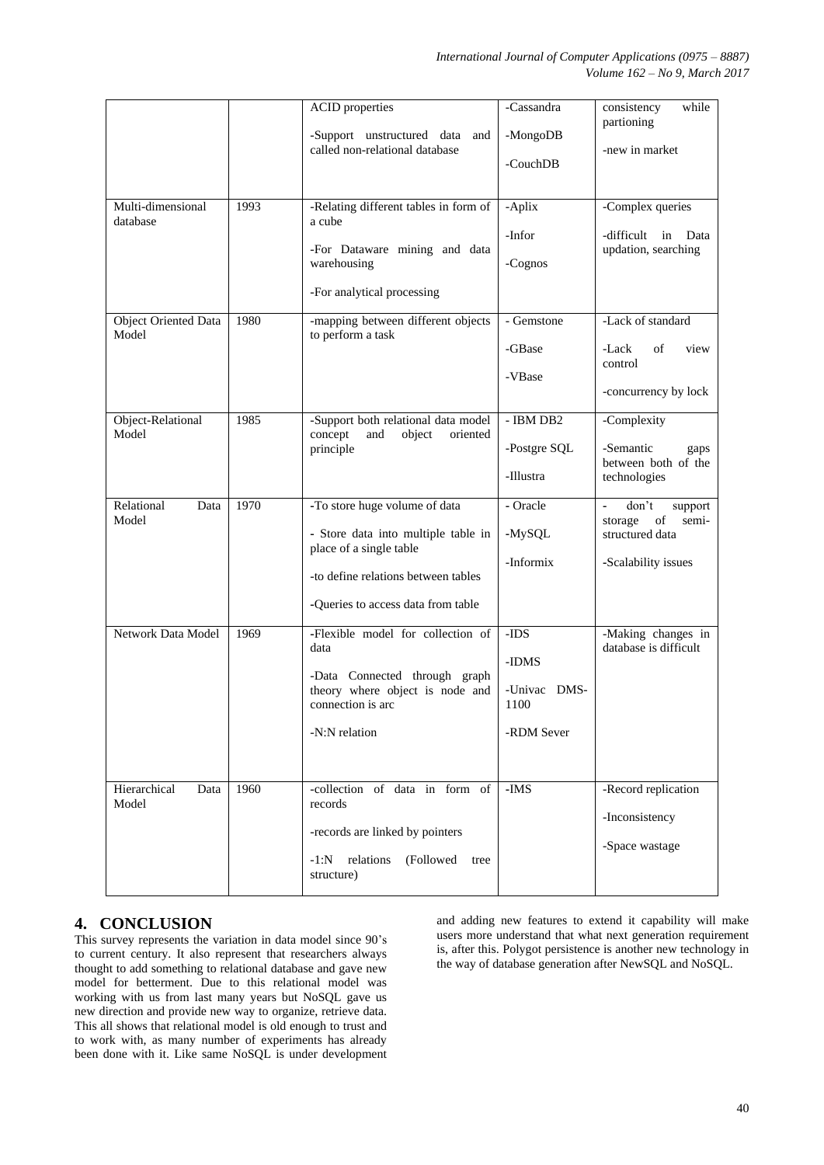|                                      |      | <b>ACID</b> properties<br>-Support unstructured data<br>and                                                                                                                  | -Cassandra<br>-MongoDB                              | consistency<br>while<br>partioning                                                                     |
|--------------------------------------|------|------------------------------------------------------------------------------------------------------------------------------------------------------------------------------|-----------------------------------------------------|--------------------------------------------------------------------------------------------------------|
|                                      |      | called non-relational database                                                                                                                                               | -CouchDB                                            | -new in market                                                                                         |
| Multi-dimensional<br>database        | 1993 | -Relating different tables in form of<br>a cube<br>-For Dataware mining and data<br>warehousing<br>-For analytical processing                                                | -Aplix<br>-Infor<br>-Cognos                         | -Complex queries<br>-difficult in<br>Data<br>updation, searching                                       |
| <b>Object Oriented Data</b><br>Model | 1980 | -mapping between different objects<br>to perform a task                                                                                                                      | - Gemstone<br>-GBase<br>-VBase                      | -Lack of standard<br>of<br>-Lack<br>view<br>control<br>-concurrency by lock                            |
| Object-Relational<br>Model           | 1985 | -Support both relational data model<br>concept<br>and<br>object<br>oriented<br>principle                                                                                     | - IBM DB2<br>-Postgre SQL<br>-Illustra              | -Complexity<br>-Semantic<br>gaps<br>between both of the<br>technologies                                |
| Relational<br>Data<br>Model          | 1970 | -To store huge volume of data<br>- Store data into multiple table in<br>place of a single table<br>-to define relations between tables<br>-Queries to access data from table | - Oracle<br>-MySQL<br>-Informix                     | don't<br>$\blacksquare$<br>support<br>of<br>storage<br>semi-<br>structured data<br>-Scalability issues |
| Network Data Model                   | 1969 | -Flexible model for collection of<br>data<br>-Data Connected through graph<br>theory where object is node and<br>connection is arc<br>-N:N relation                          | -IDS<br>-IDMS<br>-Univac DMS-<br>1100<br>-RDM Sever | -Making changes in<br>database is difficult                                                            |
| Hierarchical<br>Data<br>Model        | 1960 | -collection of data in form of<br>records<br>-records are linked by pointers<br>relations<br>(Followed<br>$-1:N$<br>tree<br>structure)                                       | -IMS                                                | -Record replication<br>-Inconsistency<br>-Space wastage                                                |

# **4. CONCLUSION**

This survey represents the variation in data model since 90's to current century. It also represent that researchers always thought to add something to relational database and gave new model for betterment. Due to this relational model was working with us from last many years but NoSQL gave us new direction and provide new way to organize, retrieve data. This all shows that relational model is old enough to trust and to work with, as many number of experiments has already been done with it. Like same NoSQL is under development and adding new features to extend it capability will make users more understand that what next generation requirement is, after this. Polygot persistence is another new technology in the way of database generation after NewSQL and NoSQL.